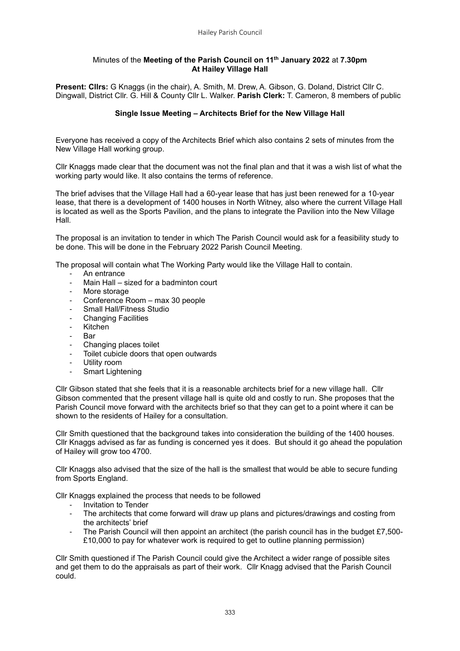## Minutes of the **Meeting of the Parish Council on 11th January 2022** at **7.30pm At Hailey Village Hall**

**Present: Cllrs:** G Knaggs (in the chair), A. Smith, M. Drew, A. Gibson, G. Doland, District Cllr C. Dingwall, District Cllr. G. Hill & County Cllr L. Walker. **Parish Clerk:** T. Cameron, 8 members of public

## **Single Issue Meeting – Architects Brief for the New Village Hall**

Everyone has received a copy of the Architects Brief which also contains 2 sets of minutes from the New Village Hall working group.

Cllr Knaggs made clear that the document was not the final plan and that it was a wish list of what the working party would like. It also contains the terms of reference.

The brief advises that the Village Hall had a 60-year lease that has just been renewed for a 10-year lease, that there is a development of 1400 houses in North Witney, also where the current Village Hall is located as well as the Sports Pavilion, and the plans to integrate the Pavilion into the New Village Hall.

The proposal is an invitation to tender in which The Parish Council would ask for a feasibility study to be done. This will be done in the February 2022 Parish Council Meeting.

The proposal will contain what The Working Party would like the Village Hall to contain.

- An entrance
- Main Hall sized for a badminton court
- More storage
- Conference Room max 30 people
- Small Hall/Fitness Studio
- **Changing Facilities**
- Kitchen
- Bar
- Changing places toilet
- Toilet cubicle doors that open outwards
- Utility room
- Smart Lightening

Cllr Gibson stated that she feels that it is a reasonable architects brief for a new village hall. Cllr Gibson commented that the present village hall is quite old and costly to run. She proposes that the Parish Council move forward with the architects brief so that they can get to a point where it can be shown to the residents of Hailey for a consultation.

Cllr Smith questioned that the background takes into consideration the building of the 1400 houses. Cllr Knaggs advised as far as funding is concerned yes it does. But should it go ahead the population of Hailey will grow too 4700.

Cllr Knaggs also advised that the size of the hall is the smallest that would be able to secure funding from Sports England.

Cllr Knaggs explained the process that needs to be followed

- Invitation to Tender
- The architects that come forward will draw up plans and pictures/drawings and costing from the architects' brief
- The Parish Council will then appoint an architect (the parish council has in the budget £7,500-£10,000 to pay for whatever work is required to get to outline planning permission)

Cllr Smith questioned if The Parish Council could give the Architect a wider range of possible sites and get them to do the appraisals as part of their work. Cllr Knagg advised that the Parish Council could.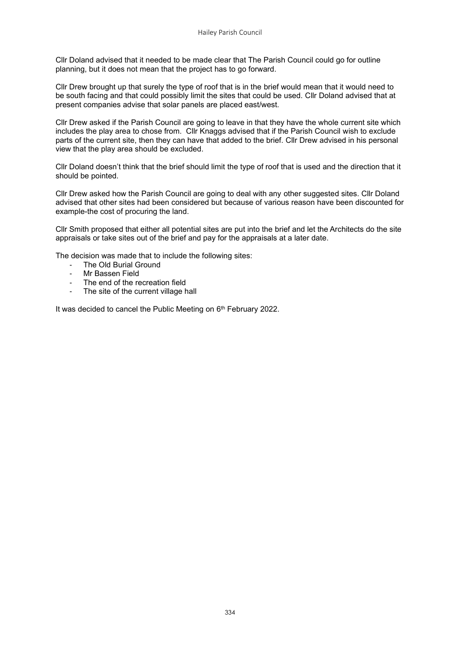Cllr Doland advised that it needed to be made clear that The Parish Council could go for outline planning, but it does not mean that the project has to go forward.

Cllr Drew brought up that surely the type of roof that is in the brief would mean that it would need to be south facing and that could possibly limit the sites that could be used. Cllr Doland advised that at present companies advise that solar panels are placed east/west.

Cllr Drew asked if the Parish Council are going to leave in that they have the whole current site which includes the play area to chose from. Cllr Knaggs advised that if the Parish Council wish to exclude parts of the current site, then they can have that added to the brief. Cllr Drew advised in his personal view that the play area should be excluded.

Cllr Doland doesn't think that the brief should limit the type of roof that is used and the direction that it should be pointed.

Cllr Drew asked how the Parish Council are going to deal with any other suggested sites. Cllr Doland advised that other sites had been considered but because of various reason have been discounted for example-the cost of procuring the land.

Cllr Smith proposed that either all potential sites are put into the brief and let the Architects do the site appraisals or take sites out of the brief and pay for the appraisals at a later date.

The decision was made that to include the following sites:

- The Old Burial Ground
- Mr Bassen Field
- The end of the recreation field
- The site of the current village hall

It was decided to cancel the Public Meeting on 6<sup>th</sup> February 2022.